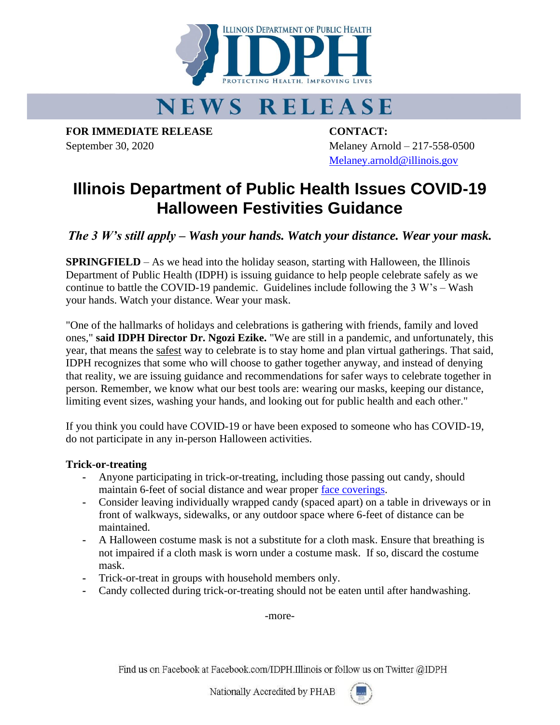

# **NEWS RELEASE**

**FOR IMMEDIATE RELEASE CONTACT:**

September 30, 2020 Melaney Arnold – 217-558-0500 [Melaney.arnold@illinois.gov](mailto:Melaney.arnold@illinois.gov)

## **Illinois Department of Public Health Issues COVID-19 Halloween Festivities Guidance**

*The 3 W's still apply – Wash your hands. Watch your distance. Wear your mask.*

**SPRINGFIELD** – As we head into the holiday season, starting with Halloween, the Illinois Department of Public Health (IDPH) is issuing guidance to help people celebrate safely as we continue to battle the COVID-19 pandemic. Guidelines include following the 3 W's – Wash your hands. Watch your distance. Wear your mask.

"One of the hallmarks of holidays and celebrations is gathering with friends, family and loved ones," **said IDPH Director Dr. Ngozi Ezike.** "We are still in a pandemic, and unfortunately, this year, that means the safest way to celebrate is to stay home and plan virtual gatherings. That said, IDPH recognizes that some who will choose to gather together anyway, and instead of denying that reality, we are issuing guidance and recommendations for safer ways to celebrate together in person. Remember, we know what our best tools are: wearing our masks, keeping our distance, limiting event sizes, washing your hands, and looking out for public health and each other."

If you think you could have COVID-19 or have been exposed to someone who has COVID-19, do not participate in any in-person Halloween activities.

### **Trick-or-treating**

- **-** Anyone participating in trick-or-treating, including those passing out candy, should maintain 6-feet of social distance and wear proper [face coverings.](https://www.cdc.gov/coronavirus/2019-ncov/prevent-getting-sick/about-face-coverings.html)
- **-** Consider leaving individually wrapped candy (spaced apart) on a table in driveways or in front of walkways, sidewalks, or any outdoor space where 6-feet of distance can be maintained.
- **-** A Halloween costume mask is not a substitute for a cloth mask. Ensure that breathing is not impaired if a cloth mask is worn under a costume mask. If so, discard the costume mask.
- **-** Trick-or-treat in groups with household members only.
- **-** Candy collected during trick-or-treating should not be eaten until after handwashing.

-more-

Find us on Facebook at Facebook.com/IDPH.Illinois or follow us on Twitter @IDPH

Nationally Accredited by PHAB